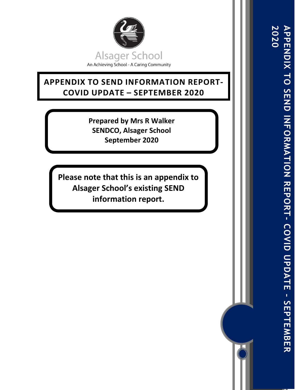

# **APPENDIX TO SEND INFORMATION REPORT - COVID UPDATE – SEPTEMBER 2020**

**Prepared by Mrs R Walker SENDCO, Alsager School September 2020**

**Please note that this is an appendix to Alsager School's existing SEND information report.**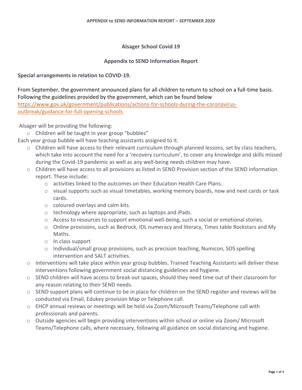## **Alsager School Covid 19**

## **Appendix to SEND Information Report**

#### **Special arrangements in relation to COVID-19.**

From September, the government announced plans for all children to return to school on a full-time basis. Following the guidelines provided by the government, which can be found below [https://www.gov.uk/government/publications/actions-for-schools-during-the-coronavirus](https://www.gov.uk/government/publications/actions-for-schools-during-the-coronavirus-outbreak/guidance-for-full-opening-schools)[outbreak/guidance-for-full-opening-schools](https://www.gov.uk/government/publications/actions-for-schools-during-the-coronavirus-outbreak/guidance-for-full-opening-schools)

Alsager will be providing the following:

o Children will be taught in year group "bubbles"

Each year group bubble will have teaching assistants assigned to it.

- o Children will have access to their relevant curriculum through planned lessons, set by class teachers, which take into account the need for a 'recovery curriculum', to cover any knowledge and skills missed during the Covid-19 pandemic as well as any well-being needs children may have.
- $\circ$  Children will have access to all provisions as listed in SEND Provision section of the SEND information report. These include:
	- o activities linked to the outcomes on their Education Health Care Plans.
	- $\circ$  visual supports such as visual timetables, working memory boards, now and next cards or task cards.
	- o coloured overlays and calm kits.
	- o technology where appropriate, such as laptops and iPads.
	- $\circ$  Access to resources to support emotional well-being, such a social or emotional stories.
	- o Online provisions, such as Bedrock, IDL numeracy and literacy, Times table Rockstars and My Maths.
	- o In class support
	- $\circ$  Individual/small group provisions, such as precision teaching, Numicon, SOS spelling intervention and SALT activities.
- $\circ$  Interventions will take place within year group bubbles. Trained Teaching Assistants will deliver these interventions following government social distancing guidelines and hygiene.
- o SEND children will have access to break out spaces, should they need time out of their classroom for any reason relating to their SEND needs.
- $\circ$  SEND support plans will continue to be in place for children on the SEND register and reviews will be conducted via Email, Edukey provision Map or Telephone call.
- o EHCP annual reviews or meetings will be held via Zoom/Microsoft Teams/Telephone call with professionals and parents.
- $\circ$  Outside agencies will begin providing interventions within school or online via Zoom/ Microsoft Teams/Telephone calls, where necessary, following all guidance on social distancing and hygiene.